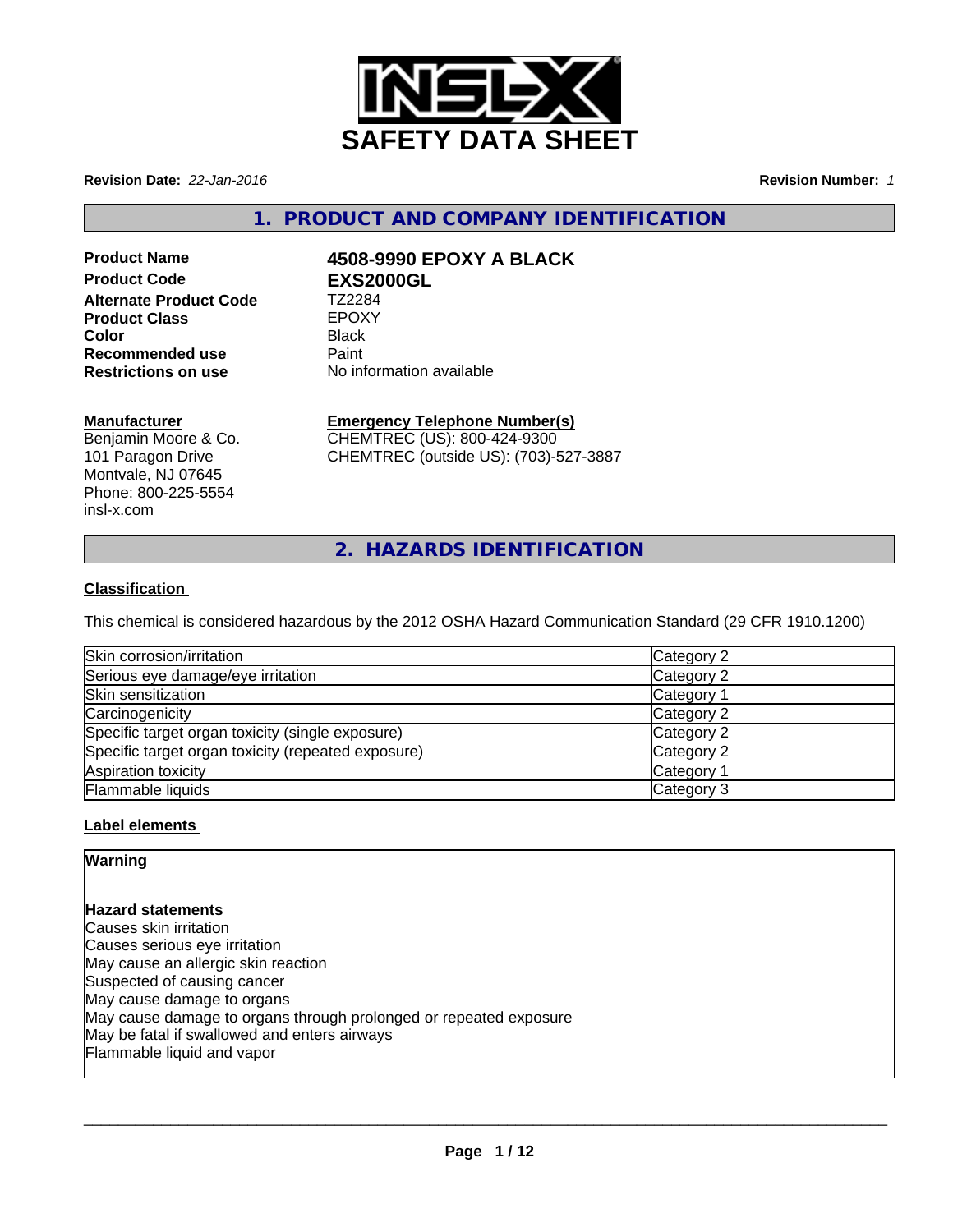

**Revision Date:** *22-Jan-2016* **Revision Number:** *1*

**1. PRODUCT AND COMPANY IDENTIFICATION**

# **Alternate Product Code TZ2284**<br> **Product Class TEPOXY Product Class** EPOX<br> **Color** Black **Color** Black **Recommended use The Paint<br>
<b>Restrictions on use** No inf

# **Product Name 4508-9990 EPOXY A BLACK**<br> **Product Code FXS2000GI Product Code EXS2000GL**

**Restrictions on use** No information available

# **Manufacturer**

Benjamin Moore & Co. 101 Paragon Drive Montvale, NJ 07645 Phone: 800-225-5554 insl-x.com

# **Emergency Telephone Number(s)**

CHEMTREC (US): 800-424-9300 CHEMTREC (outside US): (703)-527-3887

**2. HAZARDS IDENTIFICATION**

# **Classification**

This chemical is considered hazardous by the 2012 OSHA Hazard Communication Standard (29 CFR 1910.1200)

| Skin corrosion/irritation                          | Category 2            |
|----------------------------------------------------|-----------------------|
| Serious eye damage/eye irritation                  | Category 2            |
| Skin sensitization                                 | Category 1            |
| Carcinogenicity                                    | Category 2            |
| Specific target organ toxicity (single exposure)   | Category 2            |
| Specific target organ toxicity (repeated exposure) | Category 2            |
| Aspiration toxicity                                | Category <sup>2</sup> |
| Flammable liquids                                  | Category 3            |

# **Label elements**

# **Warning**

# **Hazard statements**

Causes skin irritation Causes serious eye irritation May cause an allergic skin reaction Suspected of causing cancer May cause damage to organs May cause damage to organs through prolonged or repeated exposure May be fatal if swallowed and enters airways Flammable liquid and vapor

 $\overline{\phantom{a}}$  ,  $\overline{\phantom{a}}$  ,  $\overline{\phantom{a}}$  ,  $\overline{\phantom{a}}$  ,  $\overline{\phantom{a}}$  ,  $\overline{\phantom{a}}$  ,  $\overline{\phantom{a}}$  ,  $\overline{\phantom{a}}$  ,  $\overline{\phantom{a}}$  ,  $\overline{\phantom{a}}$  ,  $\overline{\phantom{a}}$  ,  $\overline{\phantom{a}}$  ,  $\overline{\phantom{a}}$  ,  $\overline{\phantom{a}}$  ,  $\overline{\phantom{a}}$  ,  $\overline{\phantom{a}}$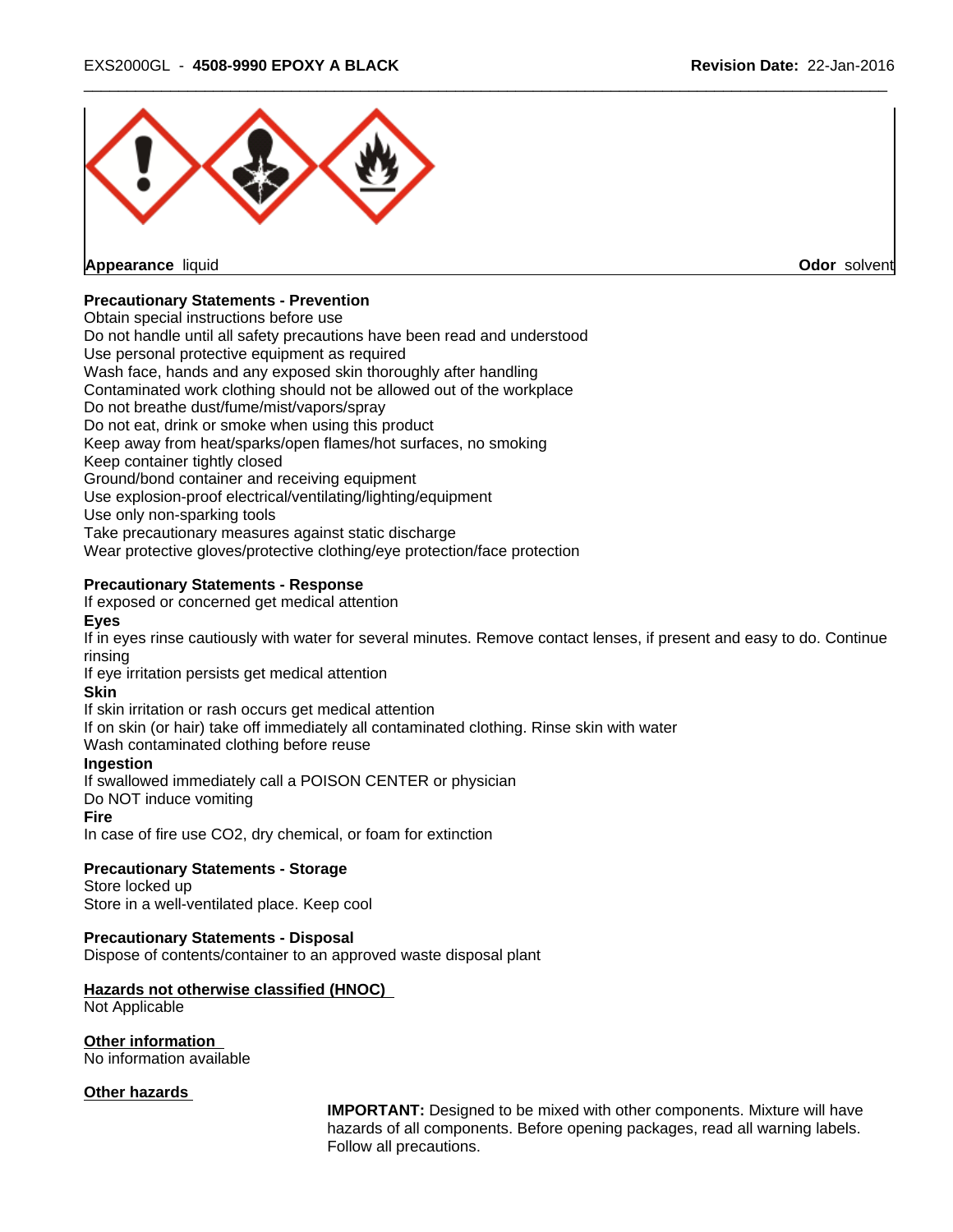

**Appearance** liquid **Odor** solvent

# **Precautionary Statements - Prevention**

Obtain special instructions before use

Do not handle until all safety precautions have been read and understood

Use personal protective equipment as required

Wash face, hands and any exposed skin thoroughly after handling

Contaminated work clothing should not be allowed out of the workplace

Do not breathe dust/fume/mist/vapors/spray

Do not eat, drink or smoke when using this product

Keep away from heat/sparks/open flames/hot surfaces, no smoking

Keep container tightly closed

Ground/bond container and receiving equipment

Use explosion-proof electrical/ventilating/lighting/equipment

Use only non-sparking tools

Take precautionary measures against static discharge

Wear protective gloves/protective clothing/eye protection/face protection

# **Precautionary Statements - Response**

If exposed or concerned get medical attention

# **Eyes**

If in eyes rinse cautiously with water for several minutes. Remove contact lenses, if present and easy to do. Continue rinsing

If eye irritation persists get medical attention

# **Skin**

If skin irritation or rash occurs get medical attention

If on skin (or hair) take off immediately all contaminated clothing. Rinse skin with water

Wash contaminated clothing before reuse

# **Ingestion**

If swallowed immediately call a POISON CENTER or physician

Do NOT induce vomiting

#### **Fire**

In case of fire use CO2, dry chemical, or foam for extinction

#### **Precautionary Statements - Storage**

Store locked up Store in a well-ventilated place. Keep cool

# **Precautionary Statements - Disposal**

Dispose of contents/container to an approved waste disposal plant

# **Hazards not otherwise classified (HNOC)**

Not Applicable

**Other information**

No information available

#### **Other hazards**

**IMPORTANT:** Designed to be mixed with other components. Mixture will have hazards of all components. Before opening packages, read all warning labels. Follow all precautions.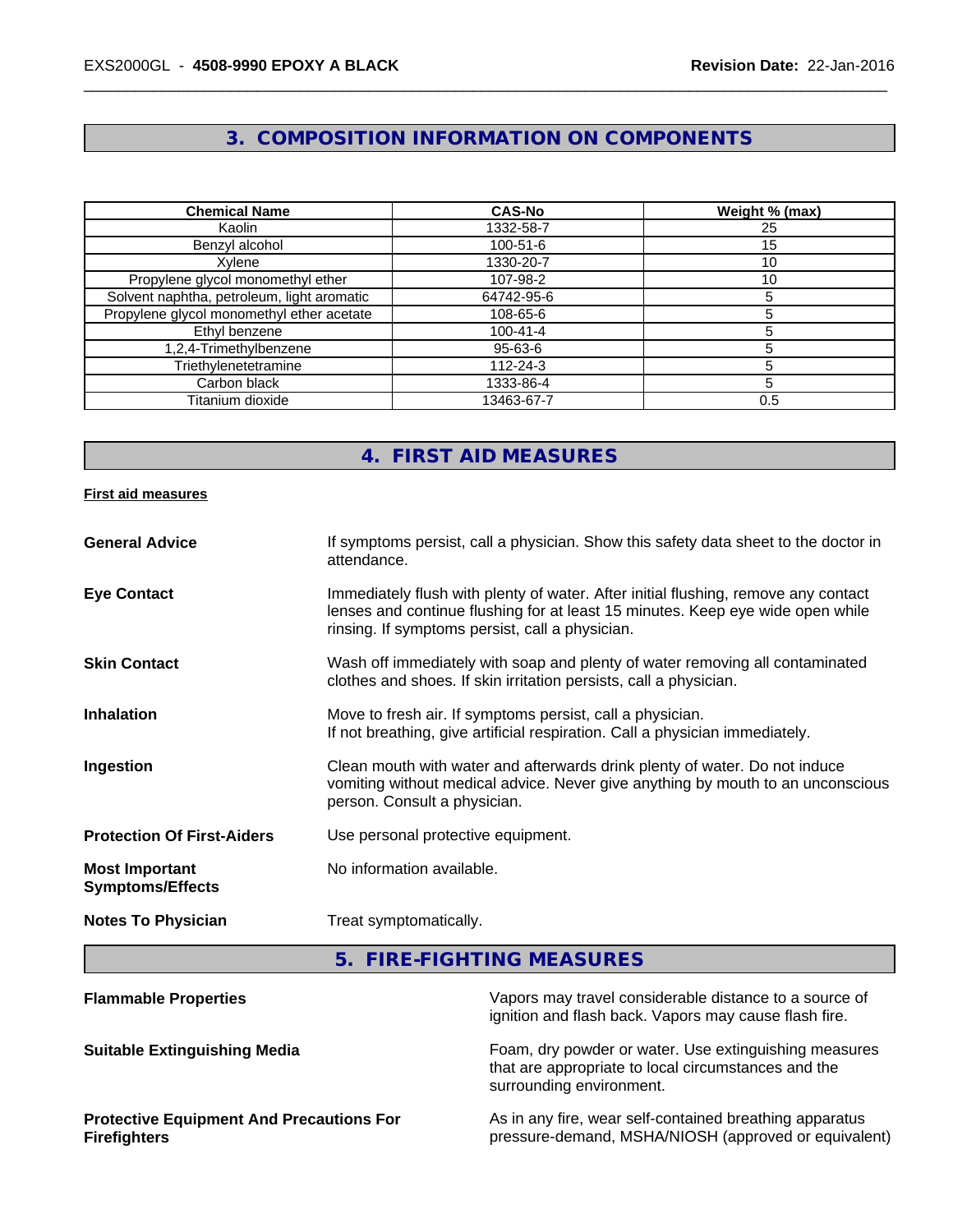# **3. COMPOSITION INFORMATION ON COMPONENTS**

| <b>Chemical Name</b>                       | <b>CAS-No</b>  | Weight % (max) |
|--------------------------------------------|----------------|----------------|
| Kaolin                                     | 1332-58-7      | 25             |
| Benzyl alcohol                             | $100 - 51 - 6$ | 15             |
| Xvlene                                     | 1330-20-7      | 10             |
| Propylene glycol monomethyl ether          | 107-98-2       | 10             |
| Solvent naphtha, petroleum, light aromatic | 64742-95-6     |                |
| Propylene glycol monomethyl ether acetate  | 108-65-6       |                |
| Ethyl benzene                              | $100 - 41 - 4$ |                |
| 1,2,4-Trimethylbenzene                     | 95-63-6        |                |
| Triethylenetetramine                       | $112 - 24 - 3$ |                |
| Carbon black                               | 1333-86-4      |                |
| Titanium dioxide                           | 13463-67-7     | 0.5            |

# **4. FIRST AID MEASURES**

#### **First aid measures**

| <b>General Advice</b>                            | If symptoms persist, call a physician. Show this safety data sheet to the doctor in<br>attendance.                                                                                                                      |
|--------------------------------------------------|-------------------------------------------------------------------------------------------------------------------------------------------------------------------------------------------------------------------------|
| <b>Eye Contact</b>                               | Immediately flush with plenty of water. After initial flushing, remove any contact<br>lenses and continue flushing for at least 15 minutes. Keep eye wide open while<br>rinsing. If symptoms persist, call a physician. |
| <b>Skin Contact</b>                              | Wash off immediately with soap and plenty of water removing all contaminated<br>clothes and shoes. If skin irritation persists, call a physician.                                                                       |
| <b>Inhalation</b>                                | Move to fresh air. If symptoms persist, call a physician.<br>If not breathing, give artificial respiration. Call a physician immediately.                                                                               |
| Ingestion                                        | Clean mouth with water and afterwards drink plenty of water. Do not induce<br>vomiting without medical advice. Never give anything by mouth to an unconscious<br>person. Consult a physician.                           |
| <b>Protection Of First-Aiders</b>                | Use personal protective equipment.                                                                                                                                                                                      |
| <b>Most Important</b><br><b>Symptoms/Effects</b> | No information available.                                                                                                                                                                                               |
| <b>Notes To Physician</b>                        | Treat symptomatically.                                                                                                                                                                                                  |

**5. FIRE-FIGHTING MEASURES**

| <b>Flammable Properties</b>                                            | Vapors may travel considerable distance to a source of<br>ignition and flash back. Vapors may cause flash fire.                          |
|------------------------------------------------------------------------|------------------------------------------------------------------------------------------------------------------------------------------|
| <b>Suitable Extinguishing Media</b>                                    | Foam, dry powder or water. Use extinguishing measures<br>that are appropriate to local circumstances and the<br>surrounding environment. |
| <b>Protective Equipment And Precautions For</b><br><b>Firefighters</b> | As in any fire, wear self-contained breathing apparatus<br>pressure-demand, MSHA/NIOSH (approved or equivalent)                          |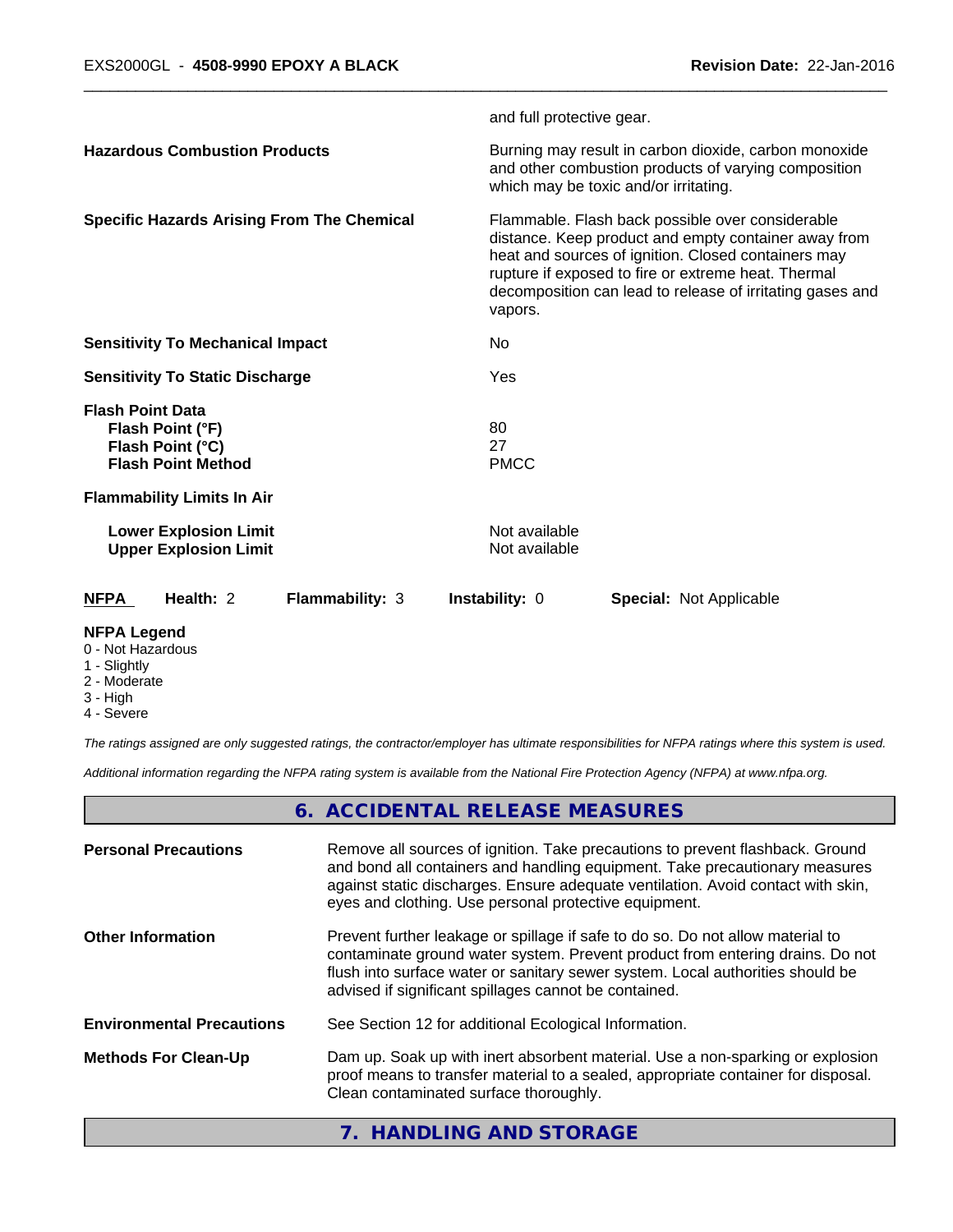|                                                                                              | and full protective gear.                                                                                                                                                                                                                                                                      |  |
|----------------------------------------------------------------------------------------------|------------------------------------------------------------------------------------------------------------------------------------------------------------------------------------------------------------------------------------------------------------------------------------------------|--|
| <b>Hazardous Combustion Products</b>                                                         | Burning may result in carbon dioxide, carbon monoxide<br>and other combustion products of varying composition<br>which may be toxic and/or irritating.                                                                                                                                         |  |
| <b>Specific Hazards Arising From The Chemical</b>                                            | Flammable. Flash back possible over considerable<br>distance. Keep product and empty container away from<br>heat and sources of ignition. Closed containers may<br>rupture if exposed to fire or extreme heat. Thermal<br>decomposition can lead to release of irritating gases and<br>vapors. |  |
| <b>Sensitivity To Mechanical Impact</b>                                                      | No                                                                                                                                                                                                                                                                                             |  |
| <b>Sensitivity To Static Discharge</b>                                                       | Yes                                                                                                                                                                                                                                                                                            |  |
| <b>Flash Point Data</b><br>Flash Point (°F)<br>Flash Point (°C)<br><b>Flash Point Method</b> | 80<br>27<br><b>PMCC</b>                                                                                                                                                                                                                                                                        |  |
| <b>Flammability Limits In Air</b>                                                            |                                                                                                                                                                                                                                                                                                |  |
| <b>Lower Explosion Limit</b><br><b>Upper Explosion Limit</b>                                 | Not available<br>Not available                                                                                                                                                                                                                                                                 |  |
| Health: 2<br><b>NFPA</b><br><b>Flammability: 3</b>                                           | <b>Instability: 0</b><br><b>Special: Not Applicable</b>                                                                                                                                                                                                                                        |  |

# **NFPA Legend**

#### 0 - Not Hazardous

- 1 Slightly
- 2 Moderate
- 3 High
- 4 Severe

*The ratings assigned are only suggested ratings, the contractor/employer has ultimate responsibilities for NFPA ratings where this system is used.*

*Additional information regarding the NFPA rating system is available from the National Fire Protection Agency (NFPA) at www.nfpa.org.*

# **6. ACCIDENTAL RELEASE MEASURES**

| <b>Personal Precautions</b>      | Remove all sources of ignition. Take precautions to prevent flashback. Ground<br>and bond all containers and handling equipment. Take precautionary measures<br>against static discharges. Ensure adequate ventilation. Avoid contact with skin,<br>eyes and clothing. Use personal protective equipment.  |
|----------------------------------|------------------------------------------------------------------------------------------------------------------------------------------------------------------------------------------------------------------------------------------------------------------------------------------------------------|
| <b>Other Information</b>         | Prevent further leakage or spillage if safe to do so. Do not allow material to<br>contaminate ground water system. Prevent product from entering drains. Do not<br>flush into surface water or sanitary sewer system. Local authorities should be<br>advised if significant spillages cannot be contained. |
| <b>Environmental Precautions</b> | See Section 12 for additional Ecological Information.                                                                                                                                                                                                                                                      |
| <b>Methods For Clean-Up</b>      | Dam up. Soak up with inert absorbent material. Use a non-sparking or explosion<br>proof means to transfer material to a sealed, appropriate container for disposal.<br>Clean contaminated surface thoroughly.                                                                                              |
|                                  | 7. HANDLING AND STORAGE                                                                                                                                                                                                                                                                                    |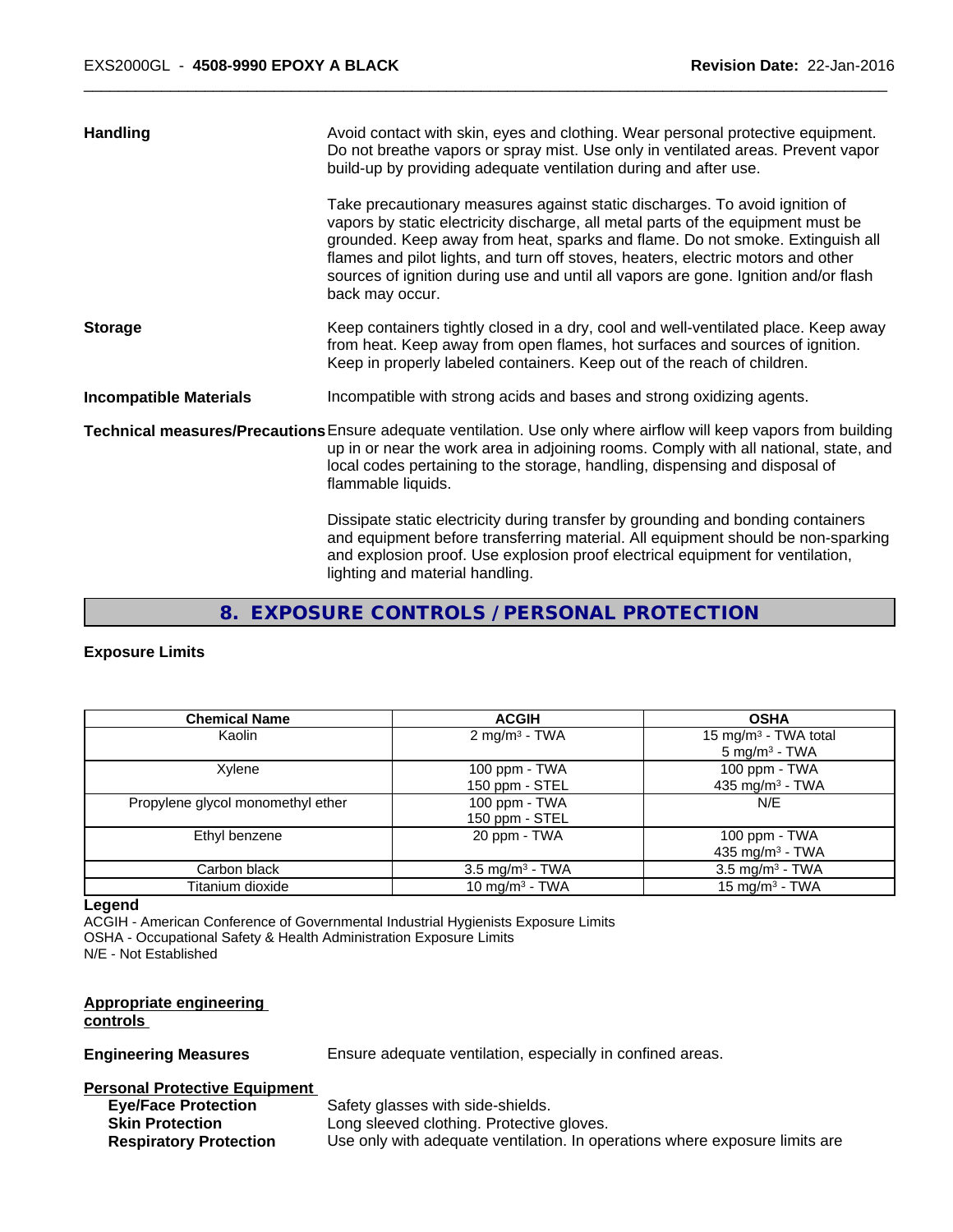| Handling                      | Avoid contact with skin, eyes and clothing. Wear personal protective equipment.<br>Do not breathe vapors or spray mist. Use only in ventilated areas. Prevent vapor<br>build-up by providing adequate ventilation during and after use.                                                                                                                                                                                                        |
|-------------------------------|------------------------------------------------------------------------------------------------------------------------------------------------------------------------------------------------------------------------------------------------------------------------------------------------------------------------------------------------------------------------------------------------------------------------------------------------|
|                               | Take precautionary measures against static discharges. To avoid ignition of<br>vapors by static electricity discharge, all metal parts of the equipment must be<br>grounded. Keep away from heat, sparks and flame. Do not smoke. Extinguish all<br>flames and pilot lights, and turn off stoves, heaters, electric motors and other<br>sources of ignition during use and until all vapors are gone. Ignition and/or flash<br>back may occur. |
| <b>Storage</b>                | Keep containers tightly closed in a dry, cool and well-ventilated place. Keep away<br>from heat. Keep away from open flames, hot surfaces and sources of ignition.<br>Keep in properly labeled containers. Keep out of the reach of children.                                                                                                                                                                                                  |
| <b>Incompatible Materials</b> | Incompatible with strong acids and bases and strong oxidizing agents.                                                                                                                                                                                                                                                                                                                                                                          |
|                               | Technical measures/Precautions Ensure adequate ventilation. Use only where airflow will keep vapors from building<br>up in or near the work area in adjoining rooms. Comply with all national, state, and<br>local codes pertaining to the storage, handling, dispensing and disposal of<br>flammable liquids.                                                                                                                                 |
|                               | Dissipate static electricity during transfer by grounding and bonding containers<br>and equipment before transferring material. All equipment should be non-sparking<br>and explosion proof. Use explosion proof electrical equipment for ventilation,<br>lighting and material handling.                                                                                                                                                      |

# **8. EXPOSURE CONTROLS / PERSONAL PROTECTION**

# **Exposure Limits**

| <b>Chemical Name</b>              | <b>ACGIH</b>                      | <b>OSHA</b>                                                  |
|-----------------------------------|-----------------------------------|--------------------------------------------------------------|
| Kaolin                            | 2 mg/m <sup>3</sup> - TWA         | 15 mg/m <sup>3</sup> - TWA total<br>$5 \text{ mg/m}^3$ - TWA |
| Xylene                            | 100 ppm $-$ TWA<br>150 ppm - STEL | 100 ppm - TWA<br>435 mg/m $3$ - TWA                          |
| Propylene glycol monomethyl ether | 100 ppm - TWA<br>150 ppm - STEL   | N/E                                                          |
| Ethyl benzene                     | 20 ppm - TWA                      | 100 ppm - TWA<br>435 mg/m <sup>3</sup> - TWA                 |
| Carbon black                      | $3.5 \text{ mg/m}^3$ - TWA        | $3.5 \text{ mg/m}^3$ - TWA                                   |
| Titanium dioxide                  | 10 mg/m $3$ - TWA                 | 15 mg/m $3$ - TWA                                            |

#### **Legend**

ACGIH - American Conference of Governmental Industrial Hygienists Exposure Limits OSHA - Occupational Safety & Health Administration Exposure Limits N/E - Not Established

# **Appropriate engineering**

# **controls**

**Engineering Measures** Ensure adequate ventilation, especially in confined areas.

#### **Personal Protective Equipment**

**Eye/Face Protection** Safety glasses with side-shields. **Skin Protection** Long sleeved clothing. Protective gloves. **Respiratory Protection** Use only with adequate ventilation. In operations where exposure limits are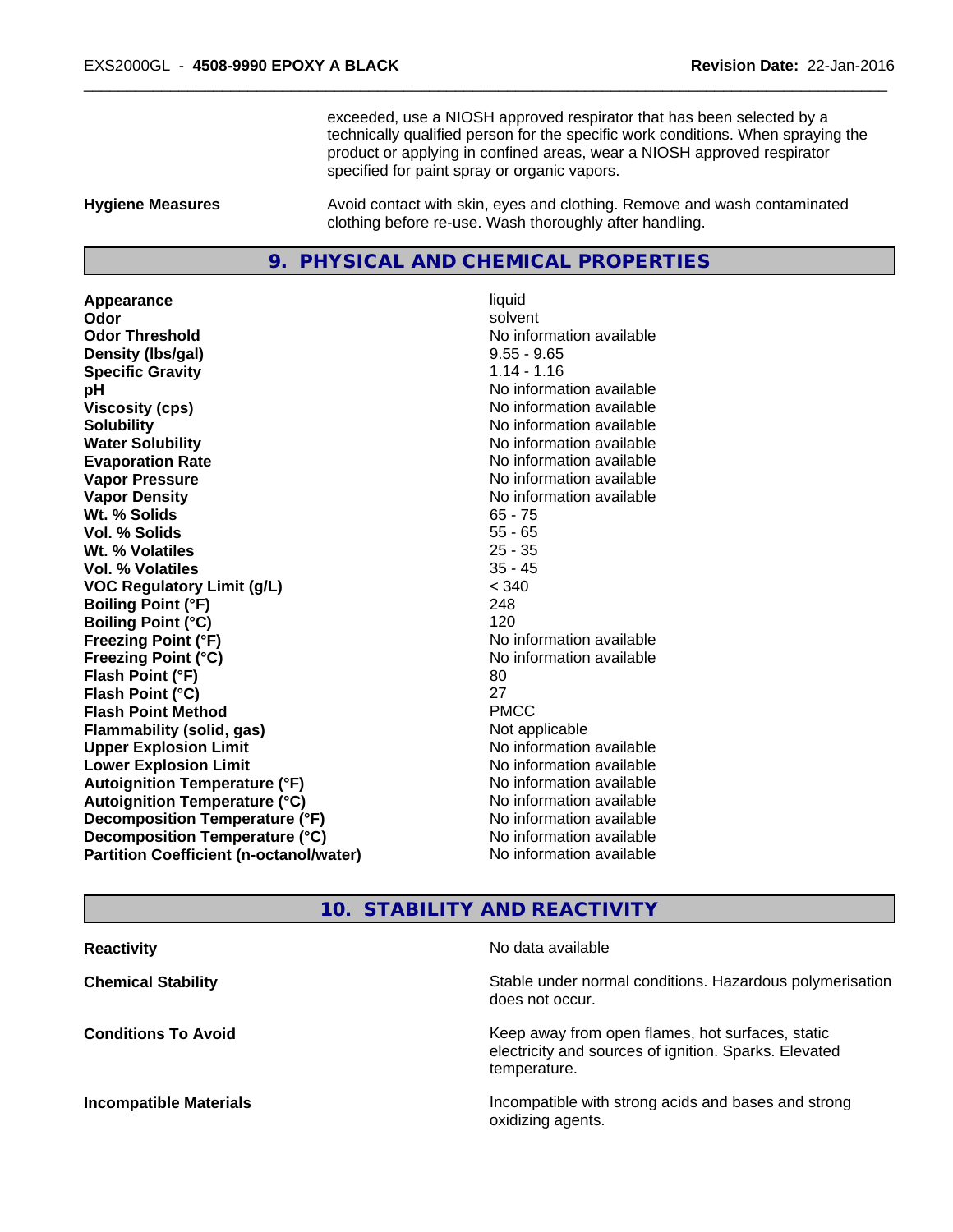exceeded, use a NIOSH approved respirator that has been selected by a technically qualified person for the specific work conditions. When spraying the product or applying in confined areas, wear a NIOSH approved respirator specified for paint spray or organic vapors.

**Hygiene Measures** Avoid contact with skin, eyes and clothing. Remove and wash contaminated clothing before re-use. Wash thoroughly after handling.

#### **9. PHYSICAL AND CHEMICAL PROPERTIES**

**Appearance** liquid **Odor** solvent **Odor Threshold No information available No information available Density (lbs/gal)** 9.55 - 9.65 **Specific Gravity** 1.14 - 1.16 **pH pH**  $\blacksquare$ **Viscosity (cps)** No information available **Solubility Note 2008 Note 2008 Note 2008 Note 2008 Note 2008 Note 2008 Note 2008 Note 2008 Note 2008 Note 2008 Note 2008 Note 2008 Note 2008 Note 2008 Note 2008 Note 2008 Note 2008 Note Water Solubility Mater Solubility**<br> **Evaporation Rate** Mate No information available **Vapor Pressure** No information available **Vapor Density Vapor Density No information available Wt. % Solids** 65 - 75<br> **Vol. % Solids** 65 - 75 **Vol. % Solids** 55 - 65 W<sub>t.</sub> % Volatiles **Vol. % Volatiles** 35 - 45 **VOC Regulatory Limit (g/L)** < 340 **Boiling Point (°F)** 248 **Boiling Point (°C)** 120 **Freezing Point (°F)** No information available **Freezing Point (°C)** No information available **Flash Point (°F)** 80 **Flash Point (°C)** 27 **Flash Point Method** PMCC **Flammability (solid, gas)** Not applicable **Upper Explosion Limit** Noinformation available **Lower Explosion Limit Contract Contract Contract Contract Contract Contract Contract Contract Contract Contract Contract Contract Contract Contract Contract Contract Contract Contract Contract Contract Contract Contract Autoignition Temperature (°F)** No information available **Autoignition Temperature (°C)** No information available **Decomposition Temperature (°F)** No information available **Decomposition Temperature (°C)** No information available **Partition Coefficient (n-octanol/water)** No information available

**Evaporation Rate** No information available

#### **10. STABILITY AND REACTIVITY**

| <b>Reactivity</b>             | No data available                                                                                                         |
|-------------------------------|---------------------------------------------------------------------------------------------------------------------------|
| <b>Chemical Stability</b>     | Stable under normal conditions. Hazardous polymerisation<br>does not occur.                                               |
| <b>Conditions To Avoid</b>    | Keep away from open flames, hot surfaces, static<br>electricity and sources of ignition. Sparks. Elevated<br>temperature. |
| <b>Incompatible Materials</b> | Incompatible with strong acids and bases and strong<br>oxidizing agents.                                                  |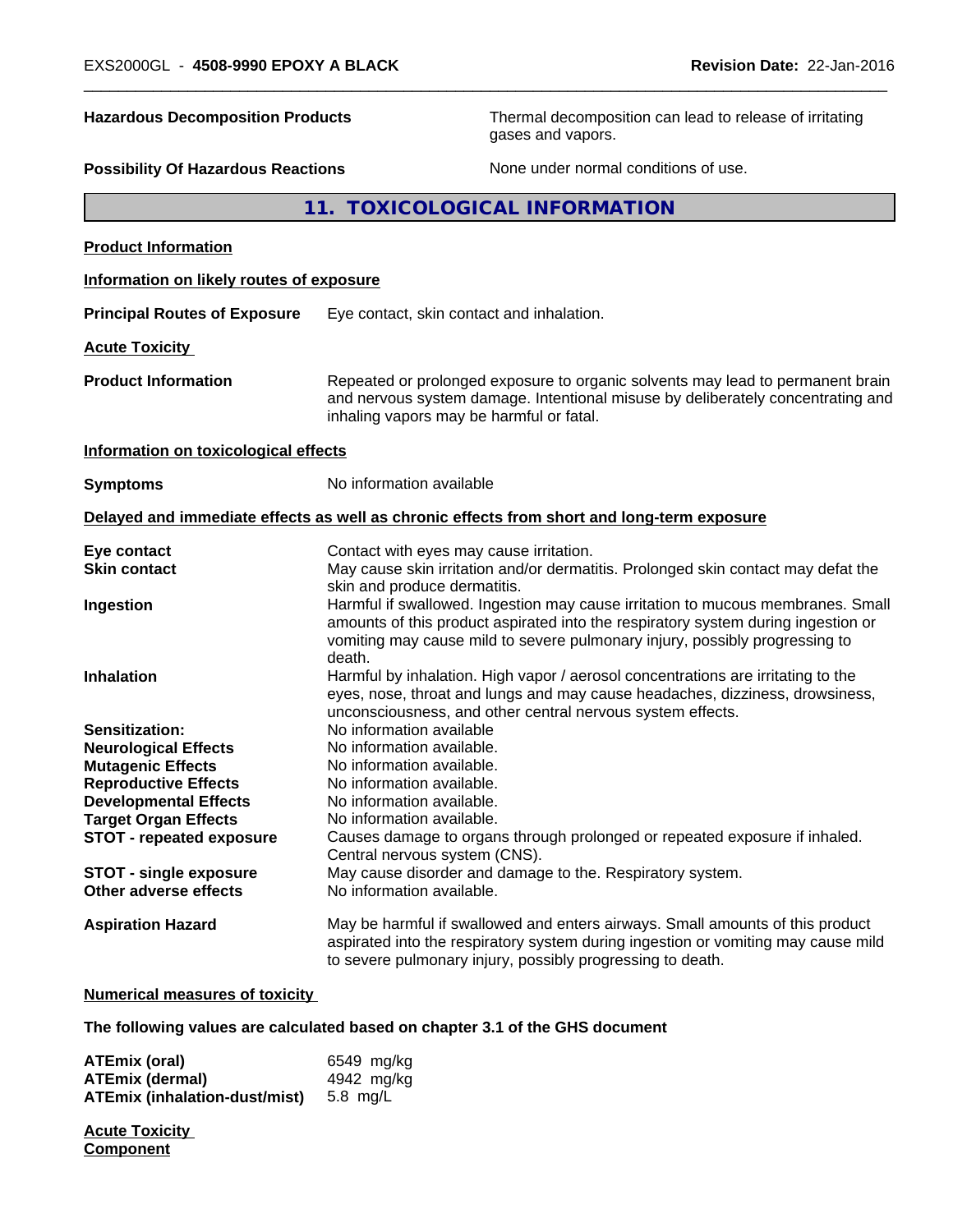| <b>Hazardous Decomposition Products</b><br><b>Possibility Of Hazardous Reactions</b> |                                                                                                                                                                                                               | Thermal decomposition can lead to release of irritating<br>gases and vapors.<br>None under normal conditions of use.                                                                                                                                |  |  |
|--------------------------------------------------------------------------------------|---------------------------------------------------------------------------------------------------------------------------------------------------------------------------------------------------------------|-----------------------------------------------------------------------------------------------------------------------------------------------------------------------------------------------------------------------------------------------------|--|--|
|                                                                                      |                                                                                                                                                                                                               |                                                                                                                                                                                                                                                     |  |  |
| <b>Product Information</b>                                                           |                                                                                                                                                                                                               |                                                                                                                                                                                                                                                     |  |  |
| Information on likely routes of exposure                                             |                                                                                                                                                                                                               |                                                                                                                                                                                                                                                     |  |  |
| <b>Principal Routes of Exposure</b>                                                  | Eye contact, skin contact and inhalation.                                                                                                                                                                     |                                                                                                                                                                                                                                                     |  |  |
| <b>Acute Toxicity</b>                                                                |                                                                                                                                                                                                               |                                                                                                                                                                                                                                                     |  |  |
| <b>Product Information</b>                                                           | Repeated or prolonged exposure to organic solvents may lead to permanent brain<br>and nervous system damage. Intentional misuse by deliberately concentrating and<br>inhaling vapors may be harmful or fatal. |                                                                                                                                                                                                                                                     |  |  |
| Information on toxicological effects                                                 |                                                                                                                                                                                                               |                                                                                                                                                                                                                                                     |  |  |
| <b>Symptoms</b>                                                                      | No information available                                                                                                                                                                                      |                                                                                                                                                                                                                                                     |  |  |
|                                                                                      |                                                                                                                                                                                                               | Delayed and immediate effects as well as chronic effects from short and long-term exposure                                                                                                                                                          |  |  |
| Eye contact<br><b>Skin contact</b>                                                   | Contact with eyes may cause irritation.                                                                                                                                                                       | May cause skin irritation and/or dermatitis. Prolonged skin contact may defat the                                                                                                                                                                   |  |  |
| Ingestion                                                                            | skin and produce dermatitis.<br>death.                                                                                                                                                                        | Harmful if swallowed. Ingestion may cause irritation to mucous membranes. Small<br>amounts of this product aspirated into the respiratory system during ingestion or<br>vomiting may cause mild to severe pulmonary injury, possibly progressing to |  |  |
| <b>Inhalation</b>                                                                    |                                                                                                                                                                                                               | Harmful by inhalation. High vapor / aerosol concentrations are irritating to the<br>eyes, nose, throat and lungs and may cause headaches, dizziness, drowsiness,<br>unconsciousness, and other central nervous system effects.                      |  |  |
| Sensitization:                                                                       | No information available                                                                                                                                                                                      |                                                                                                                                                                                                                                                     |  |  |
| <b>Neurological Effects</b>                                                          | No information available.                                                                                                                                                                                     |                                                                                                                                                                                                                                                     |  |  |
| <b>Mutagenic Effects</b>                                                             | No information available.                                                                                                                                                                                     |                                                                                                                                                                                                                                                     |  |  |
| <b>Reproductive Effects</b>                                                          | No information available.                                                                                                                                                                                     |                                                                                                                                                                                                                                                     |  |  |
| <b>Developmental Effects</b>                                                         | No information available.                                                                                                                                                                                     |                                                                                                                                                                                                                                                     |  |  |
| <b>Target Organ Effects</b><br><b>STOT - repeated exposure</b>                       | No information available.<br>Central nervous system (CNS).                                                                                                                                                    | Causes damage to organs through prolonged or repeated exposure if inhaled.                                                                                                                                                                          |  |  |
| <b>STOT - single exposure</b><br>Other adverse effects                               | No information available.                                                                                                                                                                                     | May cause disorder and damage to the. Respiratory system.                                                                                                                                                                                           |  |  |
| <b>Aspiration Hazard</b>                                                             |                                                                                                                                                                                                               | May be harmful if swallowed and enters airways. Small amounts of this product<br>aspirated into the respiratory system during ingestion or vomiting may cause mild<br>to severe pulmonary injury, possibly progressing to death.                    |  |  |
| <b>Numerical measures of toxicity</b>                                                |                                                                                                                                                                                                               |                                                                                                                                                                                                                                                     |  |  |
| The following values are calculated based on chapter 3.1 of the GHS document         |                                                                                                                                                                                                               |                                                                                                                                                                                                                                                     |  |  |

| ATEmix (oral)                 | 6549 mg/kg |
|-------------------------------|------------|
| <b>ATEmix (dermal)</b>        | 4942 mg/kg |
| ATEmix (inhalation-dust/mist) | 5.8 ma/L   |

**Acute Toxicity Component**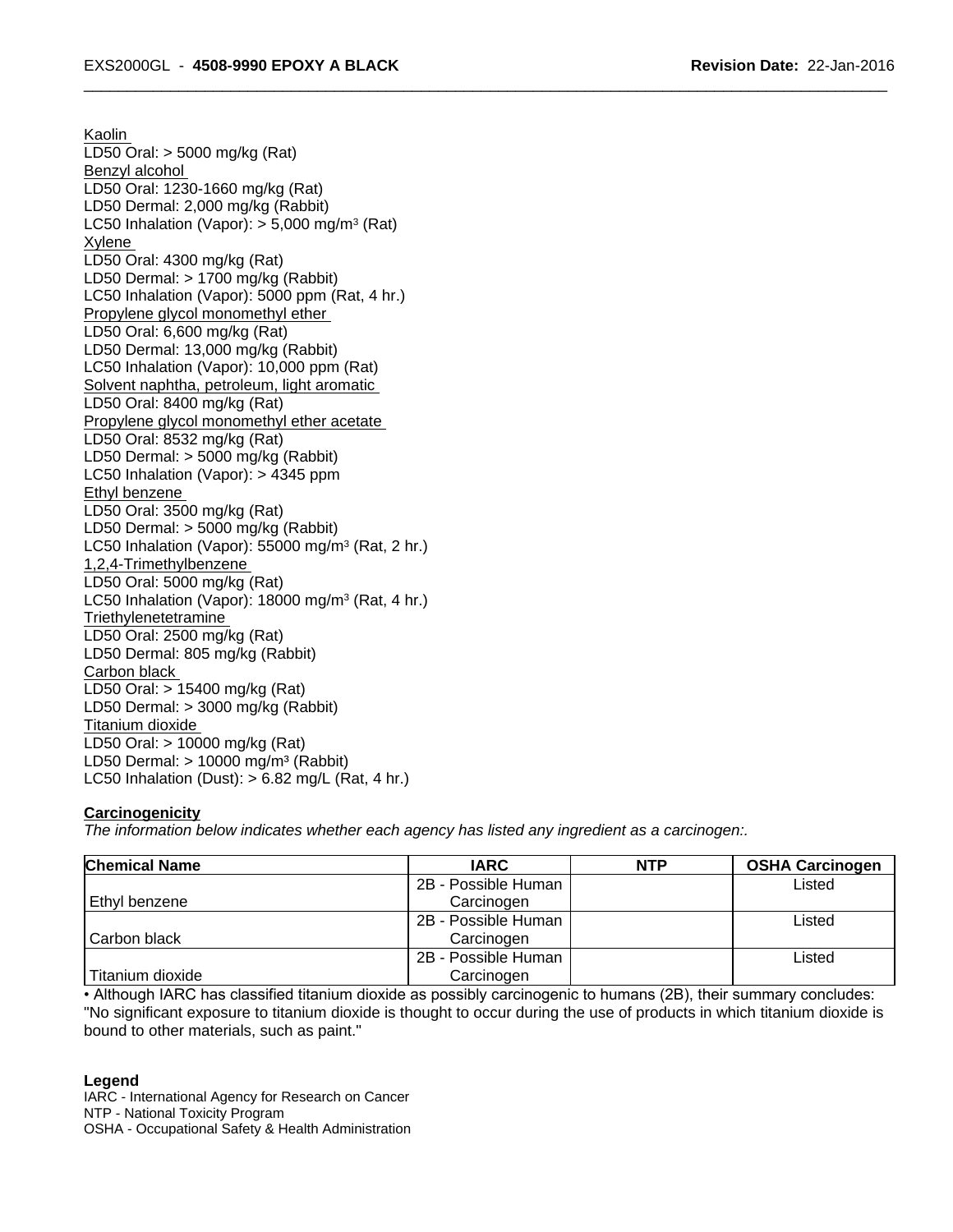Kaolin LD50 Oral: > 5000 mg/kg (Rat) Benzyl alcohol LD50 Oral: 1230-1660 mg/kg (Rat) LD50 Dermal: 2,000 mg/kg (Rabbit) LC50 Inhalation (Vapor): > 5,000 mg/m<sup>3</sup> (Rat) Xylene LD50 Oral: 4300 mg/kg (Rat) LD50 Dermal: > 1700 mg/kg (Rabbit) LC50 Inhalation (Vapor): 5000 ppm (Rat, 4 hr.) Propylene glycol monomethyl ether LD50 Oral: 6,600 mg/kg (Rat) LD50 Dermal: 13,000 mg/kg (Rabbit) LC50 Inhalation (Vapor): 10,000 ppm (Rat) Solvent naphtha, petroleum, light aromatic LD50 Oral: 8400 mg/kg (Rat) Propylene glycol monomethyl ether acetate LD50 Oral: 8532 mg/kg (Rat) LD50 Dermal: > 5000 mg/kg (Rabbit) LC50 Inhalation (Vapor): > 4345 ppm Ethyl benzene LD50 Oral: 3500 mg/kg (Rat) LD50 Dermal: > 5000 mg/kg (Rabbit) LC50 Inhalation (Vapor): 55000 mg/m<sup>3</sup> (Rat, 2 hr.) 1,2,4-Trimethylbenzene LD50 Oral: 5000 mg/kg (Rat) LC50 Inhalation (Vapor): 18000 mg/m<sup>3</sup> (Rat, 4 hr.) **Triethylenetetramine** LD50 Oral: 2500 mg/kg (Rat) LD50 Dermal: 805 mg/kg (Rabbit) Carbon black LD50 Oral: > 15400 mg/kg (Rat) LD50 Dermal: > 3000 mg/kg (Rabbit) Titanium dioxide LD50 Oral: > 10000 mg/kg (Rat) LD50 Dermal:  $> 10000$  mg/m<sup>3</sup> (Rabbit) LC50 Inhalation (Dust):  $> 6.82$  mg/L (Rat, 4 hr.)

# **Carcinogenicity**

*The information below indicateswhether each agency has listed any ingredient as a carcinogen:.*

| <b>Chemical Name</b> | <b>IARC</b>         | <b>NTP</b> | <b>OSHA Carcinogen</b> |
|----------------------|---------------------|------------|------------------------|
|                      | 2B - Possible Human |            | Listed                 |
| Ethyl benzene        | Carcinogen          |            |                        |
|                      | 2B - Possible Human |            | Listed                 |
| Carbon black         | Carcinogen          |            |                        |
|                      | 2B - Possible Human |            | ∟isted                 |
| Titanium dioxide     | Carcinogen          |            |                        |

• Although IARC has classified titanium dioxide as possibly carcinogenic to humans (2B), their summary concludes: "No significant exposure to titanium dioxide is thought to occur during the use of products in which titanium dioxide is bound to other materials, such as paint."

#### **Legend**

IARC - International Agency for Research on Cancer NTP - National Toxicity Program OSHA - Occupational Safety & Health Administration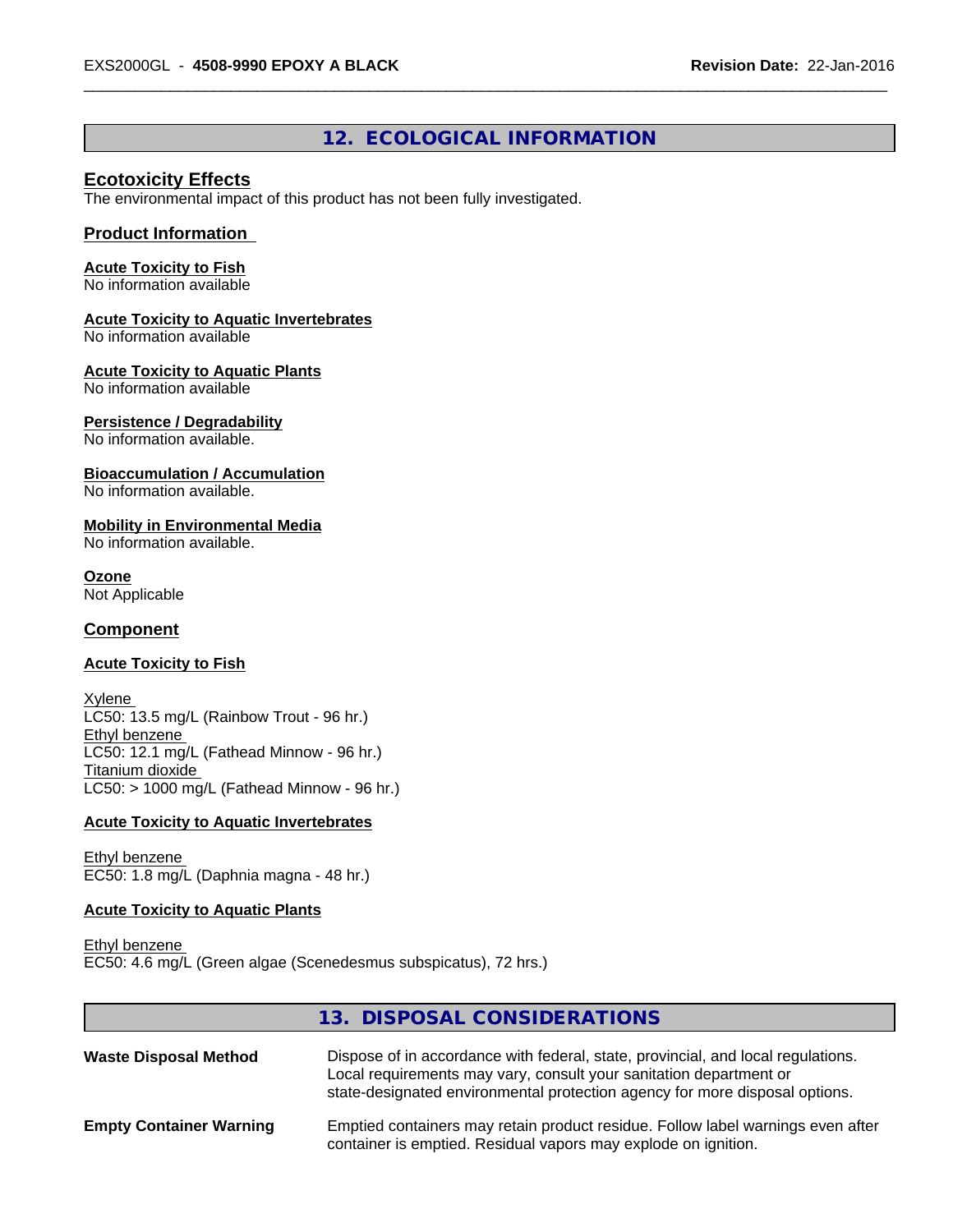# **12. ECOLOGICAL INFORMATION**

# **Ecotoxicity Effects**

The environmental impact of this product has not been fully investigated.

#### **Product Information**

## **Acute Toxicity to Fish**

No information available

#### **Acute Toxicity to Aquatic Invertebrates**

No information available

#### **Acute Toxicity to Aquatic Plants**

No information available

#### **Persistence / Degradability**

No information available.

#### **Bioaccumulation / Accumulation**

No information available.

#### **Mobility in Environmental Media**

No information available.

## **Ozone**

Not Applicable

#### **Component**

#### **Acute Toxicity to Fish**

Xylene LC50: 13.5 mg/L (Rainbow Trout - 96 hr.) Ethyl benzene LC50: 12.1 mg/L (Fathead Minnow - 96 hr.) Titanium dioxide  $LC50:$  > 1000 mg/L (Fathead Minnow - 96 hr.)

#### **Acute Toxicity to Aquatic Invertebrates**

Ethyl benzene EC50: 1.8 mg/L (Daphnia magna - 48 hr.)

#### **Acute Toxicity to Aquatic Plants**

Ethyl benzene EC50: 4.6 mg/L (Green algae (Scenedesmus subspicatus), 72 hrs.)

# **13. DISPOSAL CONSIDERATIONS Waste Disposal Method** Dispose of in accordance with federal, state, provincial, and local regulations. Local requirements may vary, consult your sanitation department or state-designated environmental protection agency for more disposal options. **Empty Container Warning** Emptied containers may retain product residue. Follow label warnings even after container is emptied. Residual vapors may explode on ignition.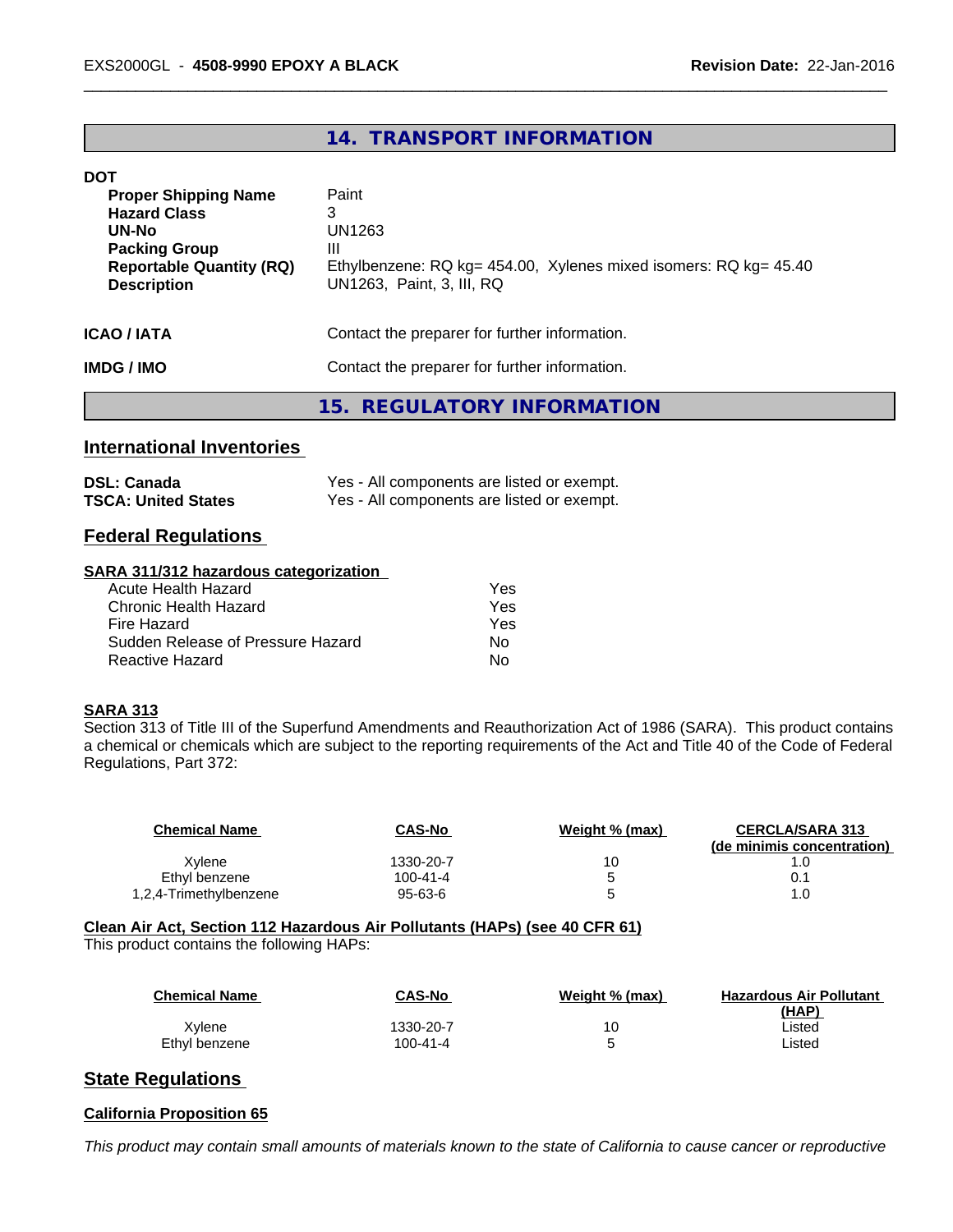# **14. TRANSPORT INFORMATION**

#### **DOT**

| <b>Proper Shipping Name</b><br><b>Hazard Class</b><br>UN-No<br><b>Packing Group</b><br><b>Reportable Quantity (RQ)</b><br><b>Description</b> | Paint<br>3<br>UN1263<br>Ш<br>Ethylbenzene: RQ kg= 454.00, Xylenes mixed isomers: RQ kg= 45.40<br>UN1263, Paint, 3, III, RQ |
|----------------------------------------------------------------------------------------------------------------------------------------------|----------------------------------------------------------------------------------------------------------------------------|
| ICAO / IATA                                                                                                                                  | Contact the preparer for further information.                                                                              |
| IMDG / IMO                                                                                                                                   | Contact the preparer for further information.                                                                              |
|                                                                                                                                              | 15. REGULATORY INFORMATION                                                                                                 |

# **International Inventories**

| <b>DSL: Canada</b>         | Yes - All components are listed or exempt. |
|----------------------------|--------------------------------------------|
| <b>TSCA: United States</b> | Yes - All components are listed or exempt. |

# **Federal Regulations**

#### **SARA 311/312 hazardous categorization**

| Acute Health Hazard               | Yes |
|-----------------------------------|-----|
| Chronic Health Hazard             | Yes |
| Fire Hazard                       | Yes |
| Sudden Release of Pressure Hazard | Nο  |
| Reactive Hazard                   | N٥  |

#### **SARA 313**

Section 313 of Title III of the Superfund Amendments and Reauthorization Act of 1986 (SARA). This product contains a chemical or chemicals which are subject to the reporting requirements of the Act and Title 40 of the Code of Federal Regulations, Part 372:

| <b>Chemical Name</b>   | <b>CAS-No</b>  | Weight % (max) | <b>CERCLA/SARA 313</b><br>(de minimis concentration) |
|------------------------|----------------|----------------|------------------------------------------------------|
| Xvlene                 | 1330-20-7      | 10             |                                                      |
| Ethyl benzene          | $100 - 41 - 4$ |                |                                                      |
| 1,2,4-Trimethylbenzene | $95 - 63 - 6$  | ∽              |                                                      |

# **Clean Air Act,Section 112 Hazardous Air Pollutants (HAPs) (see 40 CFR 61)**

This product contains the following HAPs:

| <b>Chemical Name</b> | <b>CAS-No</b> | Weight % (max) | <b>Hazardous Air Pollutant</b> |
|----------------------|---------------|----------------|--------------------------------|
|                      |               |                | (HAP)                          |
| Xvlene               | 1330-20-7     | 10             | ∟isted                         |
| Ethyl benzene        | 100-41-4      |                | ∟isted                         |

# **State Regulations**

# **California Proposition 65**

This product may contain small amounts of materials known to the state of California to cause cancer or reproductive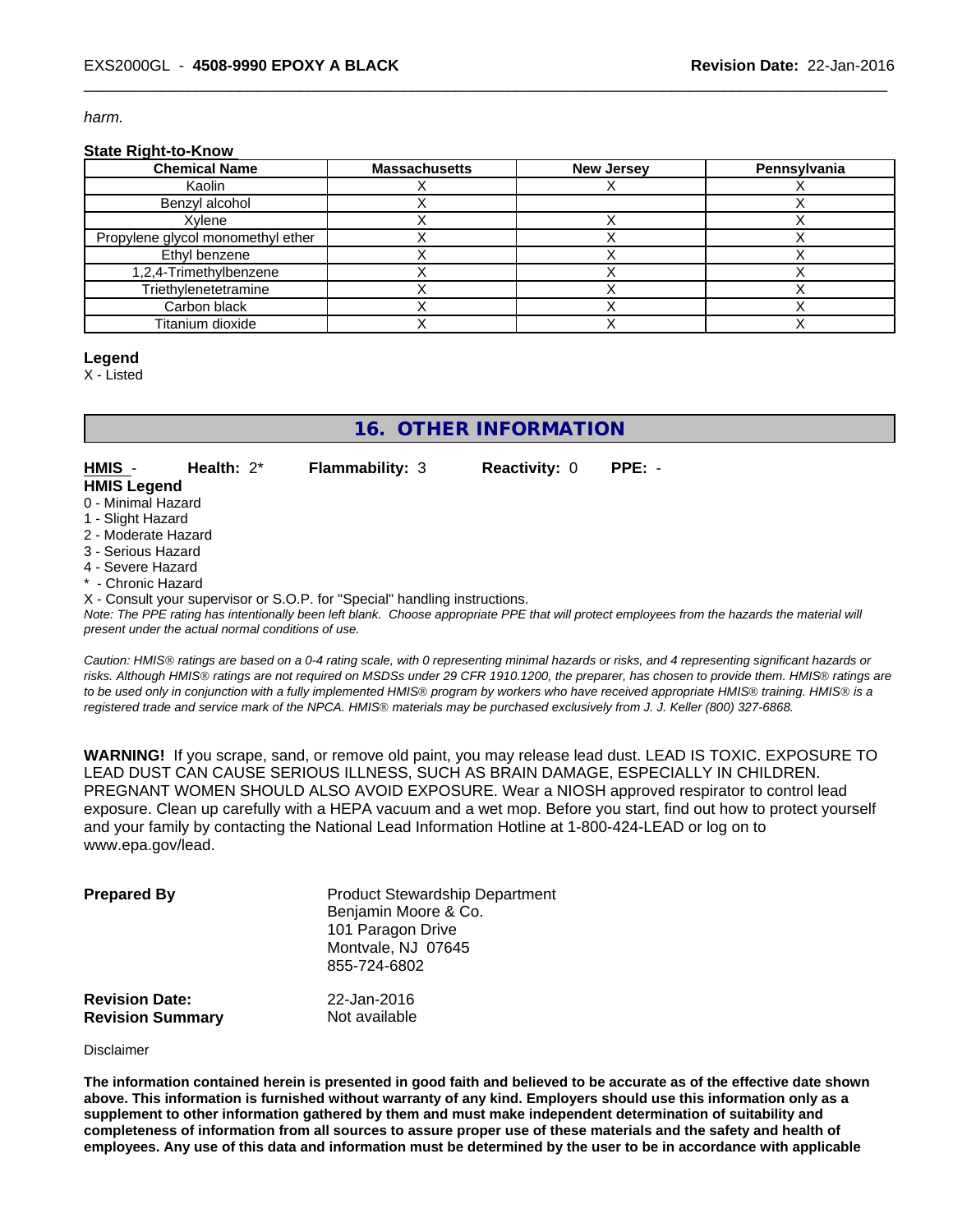*harm.*

#### **State Right-to-Know**

| <b>Chemical Name</b>              | <b>Massachusetts</b> | <b>New Jersey</b> | Pennsylvania |
|-----------------------------------|----------------------|-------------------|--------------|
| Kaolin                            |                      |                   |              |
| Benzyl alcohol                    |                      |                   |              |
| Xvlene                            |                      |                   |              |
| Propylene glycol monomethyl ether |                      |                   |              |
| Ethyl benzene                     |                      |                   |              |
| 1,2,4-Trimethylbenzene            |                      |                   |              |
| Triethylenetetramine              |                      |                   |              |
| Carbon black                      |                      |                   |              |
| Titanium dioxide                  |                      |                   |              |

#### **Legend**

X - Listed

# **16. OTHER INFORMATION**

**HMIS** - **Health:** 2\* **Flammability:** 3 **Reactivity:** 0 **PPE:** - **HMIS Legend**

- 0 Minimal Hazard
- 1 Slight Hazard
- 2 Moderate Hazard
- 3 Serious Hazard
- 4 Severe Hazard
- \* Chronic Hazard

X - Consult your supervisor or S.O.P. for "Special" handling instructions.

*Note: The PPE rating has intentionally been left blank. Choose appropriate PPE that will protect employees from the hazards the material will present under the actual normal conditions of use.*

*Caution: HMISÒ ratings are based on a 0-4 rating scale, with 0 representing minimal hazards or risks, and 4 representing significant hazards or risks. Although HMISÒ ratings are not required on MSDSs under 29 CFR 1910.1200, the preparer, has chosen to provide them. HMISÒ ratings are to be used only in conjunction with a fully implemented HMISÒ program by workers who have received appropriate HMISÒ training. HMISÒ is a registered trade and service mark of the NPCA. HMISÒ materials may be purchased exclusively from J. J. Keller (800) 327-6868.*

**WARNING!** If you scrape, sand, or remove old paint, you may release lead dust. LEAD IS TOXIC. EXPOSURE TO LEAD DUST CAN CAUSE SERIOUS ILLNESS, SUCH AS BRAIN DAMAGE, ESPECIALLY IN CHILDREN. PREGNANT WOMEN SHOULD ALSO AVOID EXPOSURE.Wear a NIOSH approved respirator to control lead exposure. Clean up carefully with a HEPA vacuum and a wet mop. Before you start, find out how to protect yourself and your family by contacting the National Lead Information Hotline at 1-800-424-LEAD or log on to www.epa.gov/lead.

| <b>Prepared By</b>                               | <b>Product Stewardship Department</b><br>Benjamin Moore & Co.<br>101 Paragon Drive<br>Montvale, NJ 07645<br>855-724-6802 |  |
|--------------------------------------------------|--------------------------------------------------------------------------------------------------------------------------|--|
| <b>Revision Date:</b><br><b>Revision Summary</b> | 22-Jan-2016<br>Not available                                                                                             |  |

#### Disclaimer

The information contained herein is presented in good faith and believed to be accurate as of the effective date shown above. This information is furnished without warranty of any kind. Employers should use this information only as a **supplement to other information gathered by them and must make independent determination of suitability and** completeness of information from all sources to assure proper use of these materials and the safety and health of employees. Any use of this data and information must be determined by the user to be in accordance with applicable